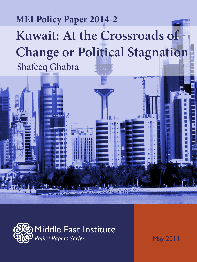# **Kuwait: At the Crossroads of Change or Political Stagnation** Shafeeq Ghabra **MEI Policy Paper 2014-2**



May 2014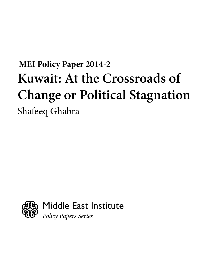# **MEI Policy Paper 2014-2** Shafeeq Ghabra **Kuwait: At the Crossroads of Change or Political Stagnation**

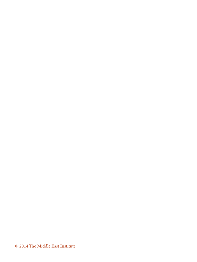© 2014 The Middle East Institute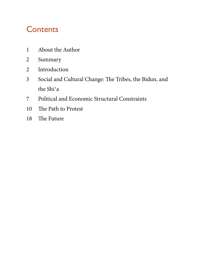# **Contents**

- About the Author
- Summary
- Introduction
- Social and Cultural Change: The Tribes, the Bidun, and the Shi'a
- Political and Economic Structural Constraints
- The Path to Protest
- The Future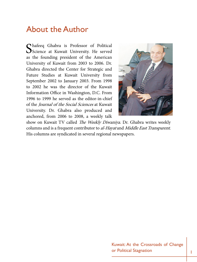### About the Author

Shafeeq Ghabra is Professor of Political Science at Kuwait University. He served as the founding president of the American University of Kuwait from 2003 to 2006. Dr. Ghabra directed the Center for Strategic and Future Studies at Kuwait University from September 2002 to January 2003. From 1998 to 2002 he was the director of the Kuwait Information Office in Washington, D.C. From 1996 to 1999 he served as the editor-in-chief of the *Journal of the Social Sciences* at Kuwait University. Dr. Ghabra also produced and anchored, from 2006 to 2008, a weekly talk



show on Kuwait TV called *The Weekly Diwaniya*. Dr. Ghabra writes weekly columns and is a frequent contributor to al-Hayat and Middle East Transparent. His columns are syndicated in several regional newspapers.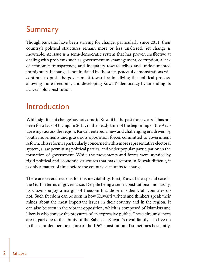# Summary

Though Kuwaitis have been striving for change, particularly since 2011, their country's political structures remain more or less unaltered. Yet change is inevitable. At issue is a semi-democratic system that has proven ineffective at dealing with problems such as government mismanagement, corruption, a lack of economic transparency, and inequality toward tribes and undocumented immigrants. If change is not initiated by the state, peaceful demonstrations will continue to push the government toward rationalizing the political process, allowing more freedoms, and developing Kuwait's democracy by amending its 52-year-old constitution.

### Introduction

While significant change has not come to Kuwait in the past three years, it has not been for a lack of trying. In 2011, in the heady time of the beginning of the Arab uprisings across the region, Kuwait entered a new and challenging era driven by youth movements and grassroots opposition forces committed to government reform. This reform is particularly concerned with a more representative electoral system, a law permitting political parties, and wider popular participation in the formation of government. While the movements and forces were stymied by rigid political and economic structures that make reform in Kuwait difficult, it is only a matter of time before the country succumbs to change.

There are several reasons for this inevitability. First, Kuwait is a special case in the Gulf in terms of governance. Despite being a semi-constitutional monarchy, its citizens enjoy a margin of freedom that those in other Gulf countries do not. Such freedom can be seen in how Kuwaiti writers and thinkers speak their minds about the most important issues in their country and in the region. It can also be seen in the vibrant opposition, which is composed of Islamists and liberals who convey the pressures of an expressive public. These circumstances are in part due to the ability of the Sabahs—Kuwait's royal family—to live up to the semi-democratic nature of the 1962 constitution, if sometimes hesitantly.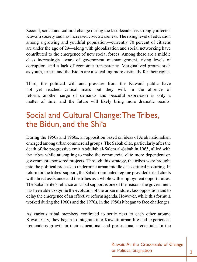Second, social and cultural change during the last decade has strongly affected Kuwaiti society and has increased civic awareness. The rising level of education among a growing and youthful population—currently 70 percent of citizens are under the age of 29—along with globalization and social networking have contributed to the emergence of new social forces. Among these are a middle class increasingly aware of government mismanagement, rising levels of corruption, and a lack of economic transparency. Marginalized groups such as youth, tribes, and the Bidun are also calling more distinctly for their rights.

Third, the political will and pressure from the Kuwaiti public have not yet reached critical mass—but they will. In the absence of reform, another surge of demands and peaceful expression is only a matter of time, and the future will likely bring more dramatic results.

# Social and Cultural Change: The Tribes, the Bidun, and the Shi'a

During the 1950s and 1960s, an opposition based on ideas of Arab nationalism emerged among urban commercial groups. The Sabah elite, particularly after the death of the progressive emir Abdullah al-Salem al-Sabah in 1965, allied with the tribes while attempting to make the commercial elite more dependent on government-sponsored projects. Through this strategy, the tribes were brought into the political process to undermine urban middle class critical posturing. In return for the tribes' support, the Sabah-dominated regime provided tribal chiefs with direct assistance and the tribes as a whole with employment opportunities. The Sabah elite's reliance on tribal support is one of the reasons the government has been able to stymie the evolution of the urban middle class opposition and to delay the emergence of an effective reform agenda. However, while this formula worked during the 1960s and the 1970s, in the 1980s it began to face challenges.

As various tribal members continued to settle next to each other around Kuwait City, they began to integrate into Kuwaiti urban life and experienced tremendous growth in their educational and professional credentials. In the

> Kuwait: At the Crossroads of Change or Political Stagnation and  $\begin{array}{|c|c|c|c|}\n\hline\n3\n\end{array}$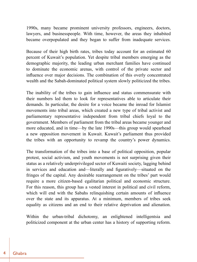1990s, many became prominent university professors, engineers, doctors, lawyers, and businesspeople. With time, however, the areas they inhabited became overpopulated and they began to suffer from inadequate services.

Because of their high birth rates, tribes today account for an estimated 60 percent of Kuwait's population. Yet despite tribal members emerging as the demographic majority, the leading urban merchant families have continued to dominate the economic arenas, with control of the private sector and influence over major decisions. The combination of this overly concentrated wealth and the Sabah-dominated political system slowly politicized the tribes.

The inability of the tribes to gain influence and status commensurate with their numbers led them to look for representatives able to articulate their demands. In particular, the desire for a voice became the inroad for Islamist movements into tribal areas, which created a new type of tribal activist and parliamentary representative independent from tribal chiefs loyal to the government. Members of parliament from the tribal areas became younger and more educated, and in time—by the late 1990s—this group would spearhead a new opposition movement in Kuwait. Kuwait's parliament thus provided the tribes with an opportunity to revamp the country's power dynamics.

The transformation of the tribes into a base of political opposition, popular protest, social activism, and youth movements is not surprising given their status as a relatively underprivileged sector of Kuwaiti society, lagging behind in services and education and—literally and figuratively—situated on the fringes of the capital. Any desirable rearrangement on the tribes' part would require a more citizen-based egalitarian political and economic structure. For this reason, this group has a vested interest in political and civil reform, which will end with the Sabahs relinquishing certain amounts of influence over the state and its apparatus. At a minimum, members of tribes seek equality as citizens and an end to their relative deprivation and alienation.

Within the urban-tribal dichotomy, an enlightened intelligentsia and politicized component at the urban center has a history of supporting reform.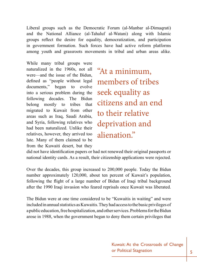Liberal groups such as the Democratic Forum (al-Manbar al-Dimuqrati) and the National Alliance (al-Tahaluf al-Watani) along with Islamic groups reflect the desire for equality, democratization, and participation in government formation. Such forces have had active reform platforms among youth and grassroots movements in tribal and urban areas alike.

While many tribal groups were naturalized in the 1960s, not all were—and the issue of the Bidun, defined as "people without legal documents," began to evolve into a serious problem during the following decades. The Bidun belong mostly to tribes that migrated to Kuwait from other areas such as Iraq, Saudi Arabia, and Syria, following relatives who had been naturalized. Unlike their relatives, however, they arrived too late. Many of them claimed to be from the Kuwaiti desert, but they

"At a minimum, members of tribes seek equality as citizens and an end to their relative deprivation and alienation."

did not have identification papers or had not renewed their original passports or national identity cards. As a result, their citizenship applications were rejected.

Over the decades, this group increased to 200,000 people. Today the Bidun number approximately 120,000, about ten percent of Kuwait's population, following the flight of a large number of Bidun of Iraqi tribal background after the 1990 Iraqi invasion who feared reprisals once Kuwait was liberated.

The Bidun were at one time considered to be "Kuwaitis in waiting" and were included in annual statistics as Kuwaitis. They had access to the basic privileges of a public education, free hospitalization, and other services. Problems for the Bidun arose in 1988, when the government began to deny them certain privileges that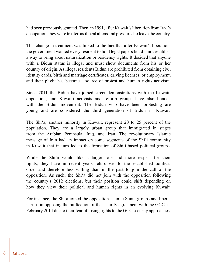had been previously granted. Then, in 1991, after Kuwait's liberation from Iraq's occupation, they were treated as illegal aliens and pressured to leave the country.

This change in treatment was linked to the fact that after Kuwait's liberation, the government wanted every resident to hold legal papers but did not establish a way to bring about naturalization or residency rights. It decided that anyone with a Bidun status is illegal and must show documents from his or her country of origin. As illegal residents Bidun are prohibited from obtaining civil identity cards, birth and marriage certificates, driving licenses, or employment, and their plight has become a source of protest and human rights activism.

Since 2011 the Bidun have joined street demonstrations with the Kuwaiti opposition, and Kuwaiti activists and reform groups have also bonded with the Bidun movement. The Bidun who have been protesting are young and are considered the third generation of Bidun in Kuwait.

The Shi'a, another minority in Kuwait, represent 20 to 25 percent of the population. They are a largely urban group that immigrated in stages from the Arabian Peninsula, Iraq, and Iran. The revolutionary Islamic message of Iran had an impact on some segments of the Shi'i community in Kuwait that in turn led to the formation of Shi'i-based political groups.

While the Shi'a would like a larger role and more respect for their rights, they have in recent years felt closer to the established political order and therefore less willing than in the past to join the call of the opposition. As such, the Shi'a did not join with the opposition following the country's 2012 elections, but their position could shift depending on how they view their political and human rights in an evolving Kuwait.

For instance, the Shi'a joined the opposition Islamic Sunni groups and liberal parties in opposing the ratification of the security agreement with the GCC in February 2014 due to their fear of losing rights to the GCC security approaches.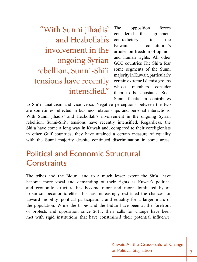"With Sunni jihadis' and Hezbollah's involvement in the ongoing Syrian rebellion, Sunni-Shi'i tensions have recently intensified."

The opposition forces considered the agreement contradictory to the Kuwaiti constitution's articles on freedom of opinion and human rights. All other GCC countries The Shi'a fear some segments of the Sunni majority in Kuwait, particularly certain extreme Islamist groups whose members consider them to be apostates. Such Sunni fanaticism contributes

to Shi'i fanaticism and vice versa. Negative perceptions between the two are sometimes reflected in business relationships and personal interactions. With Sunni jihadis' and Hezbollah's involvement in the ongoing Syrian rebellion, Sunni-Shi'i tensions have recently intensified. Regardless, the Shi'a have come a long way in Kuwait and, compared to their coreligionists in other Gulf countries, they have attained a certain measure of equality with the Sunni majority despite continued discrimination in some areas.

### Political and Economic Structural **Constraints**

The tribes and the Bidun—and to a much lesser extent the Shi'a—have become more vocal and demanding of their rights as Kuwait's political and economic structure has become more and more dominated by an urban socioeconomic elite. This has increasingly restricted the chances for upward mobility, political participation, and equality for a larger mass of the population. While the tribes and the Bidun have been at the forefront of protests and opposition since 2011, their calls for change have been met with rigid institutions that have constrained their potential influence.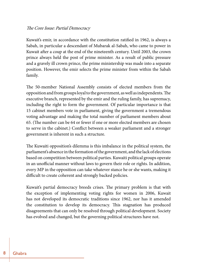#### The Core Issue: Partial Democracy

Kuwait's emir, in accordance with the constitution ratified in 1962, is always a Sabah, in particular a descendant of Mubarak al-Sabah, who came to power in Kuwait after a coup at the end of the nineteenth century. Until 2003, the crown prince always held the post of prime minister. As a result of public pressure and a gravely ill crown prince, the prime ministership was made into a separate position. However, the emir selects the prime minister from within the Sabah family.

The 50-member National Assembly consists of elected members from the opposition and from groups loyal to the government, as well as independents. The executive branch, represented by the emir and the ruling family, has supremacy, including the right to form the government. Of particular importance is that 15 cabinet members vote in parliament, giving the government a tremendous voting advantage and making the total number of parliament members about 65. (The number can be 64 or fewer if one or more elected members are chosen to serve in the cabinet.) Conflict between a weaker parliament and a stronger government is inherent in such a structure.

The Kuwaiti opposition's dilemma is this imbalance in the political system, the parliament's absence in the formation of the government, and the lack of elections based on competition between political parties. Kuwaiti political groups operate in an unofficial manner without laws to govern their role or rights. In addition, every MP in the opposition can take whatever stance he or she wants, making it difficult to create coherent and strongly backed policies.

Kuwait's partial democracy breeds crises. The primary problem is that with the exception of implementing voting rights for women in 2006, Kuwait has not developed its democratic traditions since 1962, nor has it amended the constitution to develop its democracy. This stagnation has produced disagreements that can only be resolved through political development. Society has evolved and changed, but the governing political structures have not.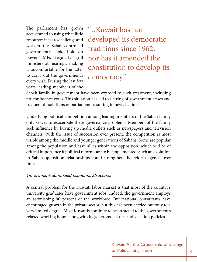The parliament has grown accustomed to using what little resources it has to challenge and weaken the Sabah-controlled government's choke hold on power. MPs regularly grill ministers at hearings, making it uncomfortable for the latter to carry out the government's every wish. During the last few years leading members of the

"...Kuwait has not developed its democratic traditions since 1962, nor has it amended the constitution to develop its democracy."

Sabah family in government have been exposed to such treatment, including no-confidence votes. This situation has led to a string of government crises and frequent dissolutions of parliament, resulting in new elections.

Underlying political competition among leading members of the Sabah family only serves to exacerbate these governance problems. Members of the family seek influence by buying up media outlets such as newspapers and television channels. With the issue of succession ever present, the competition is most visible among the middle and younger generations of Sabahs. Some are popular among the population and have allies within the opposition, which will be of critical importance if political reforms are to be implemented. Such an evolution in Sabah-opposition relationships could strengthen the reform agenda over time.

#### Government-dominated Economic Structures

A central problem for the Kuwaiti labor market is that most of the country's university graduates have government jobs. Indeed, the government employs an astonishing 90 percent of the workforce. International consultants have encouraged growth in the private sector, but this has been carried out only to a very limited degree. Most Kuwaitis continue to be attracted to the government's relaxed working hours along with its generous salaries and vacation policies.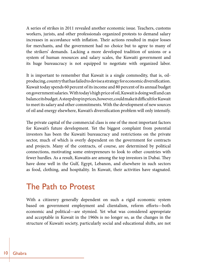A series of strikes in 2011 revealed another economic issue. Teachers, customs workers, jurists, and other professionals organized protests to demand salary increases in accordance with inflation. Their actions resulted in major losses for merchants, and the government had no choice but to agree to many of the strikers' demands. Lacking a more developed tradition of unions or a system of human resources and salary scales, the Kuwaiti government and its huge bureaucracy is not equipped to negotiate with organized labor.

It is important to remember that Kuwait is a single commodity, that is, oilproducing, country that has failed to devise a strategy for economic diversification. Kuwait today spends 60 percent of its income and 80 percent of its annual budget on government salaries. With today's high price of oil, Kuwait is doing well and can balance its budget. A steep drop in prices, however, could make it difficult for Kuwait to meet its salary and other commitments. With the development of new sources of oil and energy elsewhere, Kuwait's diversification problem will only intensify.

The private capital of the commercial class is one of the most important factors for Kuwait's future development. Yet the biggest complaint from potential investors has been the Kuwaiti bureaucracy and restrictions on the private sector, much of which is overly dependent on the government for contracts and projects. Many of the contracts, of course, are determined by political connections, motivating some entrepreneurs to look to other countries with fewer hurdles. As a result, Kuwaitis are among the top investors in Dubai. They have done well in the Gulf, Egypt, Lebanon, and elsewhere in such sectors as food, clothing, and hospitality. In Kuwait, their activities have stagnated.

### The Path to Protest

With a citizenry generally dependent on such a rigid economic system based on government employment and clientalism, reform efforts—both economic and political—are stymied. Yet what was considered appropriate and acceptable in Kuwait in the 1960s is no longer so, as the changes in the structure of Kuwaiti society, particularly social and educational shifts, are not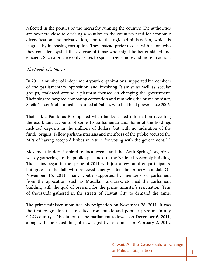reflected in the politics or the hierarchy running the country. The authorities are nowhere close to devising a solution to the country's need for economic diversification and privatization, nor to the rigid administration, which is plagued by increasing corruption. They instead prefer to deal with actors who they consider loyal at the expense of those who might be better skilled and efficient. Such a practice only serves to spur citizens more and more to action.

#### The Seeds of a Storm

In 2011 a number of independent youth organizations, supported by members of the parliamentary opposition and involving Islamist as well as secular groups, coalesced around a platform focused on changing the government. Their slogans targeted combating corruption and removing the prime minister, Sheik Nasser Mohammed al-Ahmed al-Sabah, who had held power since 2006.

That fall, a Pandora's Box opened when banks leaked information revealing the exorbitant accounts of some 15 parliamentarians. Some of the holdings included deposits in the millions of dollars, but with no indication of the funds' origins. Fellow parliamentarians and members of the public accused the MPs of having accepted bribes in return for voting with the government.**[1]**

Movement leaders, inspired by local events and the "Arab Spring," organized weekly gatherings in the public space next to the National Assembly building. The sit-ins began in the spring of 2011 with just a few hundred participants, but grew in the fall with renewed energy after the bribery scandal. On November 16, 2011, many youth supported by members of parliament from the opposition, such as Musallam al-Barak, stormed the parliament building with the goal of pressing for the prime minister's resignation. Tens of thousands gathered in the streets of Kuwait City to demand the same.

The prime minister submitted his resignation on November 28, 2011. It was the first resignation that resulted from public and popular pressure in any GCC country. Dissolution of the parliament followed on December 6, 2011, along with the scheduling of new legislative elections for February 2, 2012.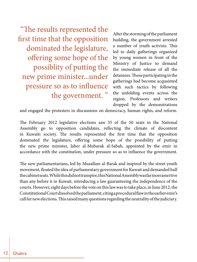12 Ghabra

"The results represented the first time that the opposition dominated the legislature, offering some hope of the possiblity of putting the new prime minister...under pressure so as to influence the government. "

After the storming of the parliament building, the government arrested a number of youth activists. This led to daily gatherings organized by young women in front of the Ministry of Justice to demand the immediate release of all the detainees. Those participating in the gatherings had become acquainted with such tactics by following the unfolding events across the region. Professors and writers dropped by the demonstrations

and engaged the protesters in discussions on democracy, human rights, and reform.

The February 2012 legislative elections saw 35 of the 50 seats in the National Assembly go to opposition candidates, reflecting the climate of discontent in Kuwaiti society. The results represented the first time that the opposition dominated the legislature, offering some hope of the possibility of putting the new prime minister, Jaber al-Mubarak al-Sabah, appointed by the emir in accordance with the constitution, under pressure so as to influence the government.

The new parliamentarians, led by Musallam al-Barak and inspired by the street youth movement, floated the idea of parliamentary government for Kuwait and demanded half the cabinet seats. While this did not transpire, this National Assembly was far more assertive than any before it in Kuwait, introducing a law guaranteeing the independence of the courts. However, eight days before the vote on this law was to take place, in June 2012, the Constitutional Court dissolved the parliament, citing a procedural flaw in the earlier emir's call for new elections. This raised many questions regarding the neutrality of the judiciary.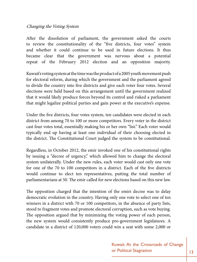#### Changing the Voting System

After the dissolution of parliament, the government asked the courts to review the constitutionality of the "five districts, four votes" system and whether it could continue to be used in future elections. It thus became clear that the government was nervous about a potential repeat of the February 2012 election and an opposition majority.

Kuwait's voting system at the time was the product of a 2005 youth movement push for electoral reform, during which the government and the parliament agreed to divide the country into five districts and give each voter four votes. Several elections were held based on this arrangement until the government realized that it would likely produce forces beyond its control and risked a parliament that might legalize political parties and gain power at the executive's expense.

Under the five districts, four votes system, ten candidates were elected in each district from among 70 to 100 or more competitors. Every voter in the district cast four votes total, essentially making his or her own "list." Each voter would typically end up having at least one individual of their choosing elected in the district. The Constitutional Court judged the system to be constitutional.

Regardless, in October 2012, the emir invoked one of his constitutional rights by issuing a "decree of urgency," which allowed him to change the electoral system unilaterally. Under the new rules, each voter would cast only one vote for one of the 70 to 100 competitors in a district. Each of the five districts would continue to elect ten representatives, putting the total number of parliamentarians at 50. The emir called for new elections based on this new law.

The opposition charged that the intention of the emiri decree was to delay democratic evolution in the country. Having only one vote to select one of ten winners in a district with 70 or 100 competitors, in the absence of party lists, stood to fragment votes and promote electoral corruption, such as vote buying. The opposition argued that by minimizing the voting power of each person, the new system would consistently produce pro-government legislatures. A candidate in a district of 120,000 voters could win a seat with some 2,000 or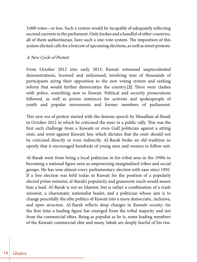3,000 votes—or less. Such a system would be incapable of adequately reflecting societal currents in the parliament. Only Jordan and a handful of other countries, all of them authoritarian, have such a one-vote system. The imposition of this system elicited calls for a boycott of upcoming elections, as well as street protests.

#### A New Cycle of Protest

From October 2012 into early 2013, Kuwait witnessed unprecedented demonstrations, licensed and unlicensed, involving tens of thousands of participants airing their opposition to the new voting system and seeking reform that would further democratize the country.**[2]** There were clashes with police, something new to Kuwait. Political and security prosecutions followed, as well as prison sentences for activists and spokespeople of youth and popular movements and former members of parliament.

This new era of protest started with the famous speech by Musallam al-Barak in October 2012 in which he criticized the emir in a public rally. This was the first such challenge from a Kuwaiti or even Gulf politician against a sitting emir, and went against Kuwaiti law, which dictates that the emir should not be criticized directly or even indirectly. Al-Barak broke an old tradition so openly that it encouraged hundreds of young men and women to follow suit.

Al-Barak went from being a local politician in his tribal area in the 1990s to becoming a national figure seen as empowering marginalized tribes and social groups. He has won almost every parliamentary election with ease since 1992. If a free election was held today in Kuwait for the position of a popularly elected prime minister, al-Barak's popularity and grassroots reach would assure him a lead. Al-Barak is not an Islamist, but is rather a combination of a trade unionist, a charismatic nationalist leader, and a politician whose aim is to change peacefully the elite politics of Kuwait into a more democratic, inclusive, and open structure. Al-Barak reflects deep changes in Kuwaiti society; for the first time a leading figure has emerged from the tribal majority and not from the commercial elites. Being as populist as he is, some leading members of the Kuwaiti commercial elite and many Sabah are deeply fearful of his rise.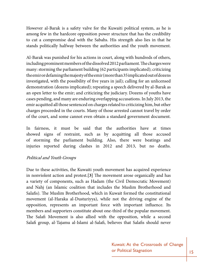However al-Barak is a safety valve for the Kuwaiti political system, as he is among few in the hardcore opposition power structure that has the credibility to cut a compromise deal with the Sabahs. His strength also lies in that he stands politically halfway between the authorities and the youth movement.

Al-Barak was punished for his actions in court, along with hundreds of others, including prominent members of the dissolved 2012 parliament. The charges were many: storming the parliament building (62 participants implicated); criticizing the emir or defaming the majesty of the emir (more than 35 implicated out of dozens investigated, with the possibility of five years in jail); calling for an unlicensed demonstration (dozens implicated); repeating a speech delivered by al-Barak as an open letter to the emir; and criticizing the judiciary. Dozens of youths have cases pending, and many are enduring overlapping accusations. In July 2013, the emir acquitted all those sentenced on charges related to criticizing him, but other charges proceeded in the courts. Many of those arrested cannot travel by order of the court, and some cannot even obtain a standard government document.

In fairness, it must be said that the authorities have at times showed signs of restraint, such as by acquitting all those accused of storming the parliament building. Also, there were beatings and injuries reported during clashes in 2012 and 2013, but no deaths.

#### Political and Youth Groups

Due to these activities, the Kuwaiti youth movement has acquired experience in nonviolent action and protest.**[3]** The movement arose organically and has a variety of components, such as Hadam (the Civil Democratic Movement) and Nahj (an Islamic coalition that includes the Muslim Brotherhood and Salafis). The Muslim Brotherhood, which in Kuwait formed the constitutional movement (al-Haraka al-Dusturiyya), while not the driving engine of the opposition, represents an important force with important influence. Its members and supporters constitute about one-third of the popular movement. The Salafi Movement is also allied with the opposition, while a second Salafi group, al-Tajamu al-Islami al-Salafi, believes that Salafis should never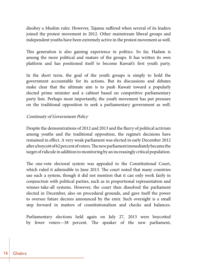disobey a Muslim ruler. However, Tajamu suffered when several of its leaders joined the protest movement in 2012. Other mainstream liberal groups and independent youths have been extremely active in the protest movement as well.

This generation is also gaining experience in politics. So far, Hadam is among the more political and mature of the groups. It has written its own platform and has positioned itself to become Kuwait's first youth party.

In the short term, the goal of the youth groups is simply to hold the government accountable for its actions. But its discussions and debates make clear that the ultimate aim is to push Kuwait toward a popularly elected prime minister and a cabinet based on competitive parliamentary party lists. Perhaps most importantly, the youth movement has put pressure on the traditional opposition to seek a parliamentary government as well.

#### Continuity of Government Policy

Despite the demonstrations of 2012 and 2013 and the flurry of political activism among youths and the traditional opposition, the regime's decisions have remained in effect. A very weak parliament was elected in early December 2012 after a boycott of 62 percent of voters. The new parliament immediately became the target of ridicule in addition to monitoring by an increasingly critical population.

The one-vote electoral system was appealed to the Constitutional Court, which ruled it admissible in June 2013. The court noted that many countries use such a system, though it did not mention that it can only work fairly in conjunction with political parties, such as in proportional representation and winner-take-all systems. However, the court then dissolved the parliament elected in December, also on procedural grounds, and gave itself the power to oversee future decrees announced by the emir. Such oversight is a small step forward in matters of constitutionalism and checks and balances.

Parliamentary elections held again on July 27, 2013 were boycotted by fewer voters—38 percent. The speaker of the new parliament,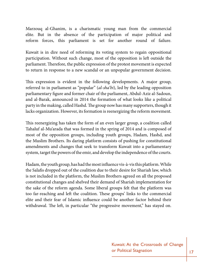Marzouq al-Ghanim, is a charismatic young man from the commercial elite. But in the absence of the participation of major political and reform forces, this parliament is set for another round of failure.

Kuwait is in dire need of reforming its voting system to regain oppositional participation. Without such change, most of the opposition is left outside the parliament. Therefore, the public expression of the protest movement is expected to return in response to a new scandal or an unpopular government decision.

This expression is evident in the following developments. A major group, referred to in parliament as "popular" (*al-sha'bi*), led by the leading opposition parliamentary figure and former chair of the parliament, Abdul-Aziz al-Sadoun, and al-Barak, announced in 2014 the formation of what looks like a political party in the making, called Hashd. The group now has many supporters, though it lacks organization. However, its formation is reenergizing the reform movement.

This reenergizing has taken the form of an even larger group, a coalition called Tahaluf al-Mu'arada that was formed in the spring of 2014 and is composed of most of the opposition groups, including youth groups, Hadam, Hashd, and the Muslim Brothers. Its daring platform consists of pushing for constitutional amendments and changes that seek to transform Kuwait into a parliamentary system, target the powers of the emir, and develop the independence of the courts.

Hadam, the youth group, has had the most influence vis-à-vis this platform. While the Salafis dropped out of the coalition due to their desire for Shariah law, which is not included in the platform, the Muslim Brothers agreed on all the proposed constitutional changes and shelved their demand of Shariah implementation for the sake of the reform agenda. Some liberal groups felt that the platform was too far-reaching and left the coalition. These groups' links to the commercial elite and their fear of Islamic influence could be another factor behind their withdrawal. The left, in particular "the progressive movement," has stayed on.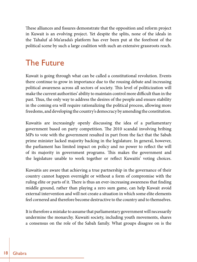These alliances and fissures demonstrate that the opposition and reform project in Kuwait is an evolving project. Yet despite the splits, none of the ideals in the Tahaluf al-Mu'arada's platform has ever been put at the forefront of the political scene by such a large coalition with such an extensive grassroots reach.

## The Future

Kuwait is going through what can be called a constitutional revolution. Events there continue to grow in importance due to the rousing debate and increasing political awareness across all sectors of society. This level of politicization will make the current authorities' ability to maintain control more difficult than in the past. Thus, the only way to address the desires of the people and ensure stability in the coming era will require rationalizing the political process, allowing more freedoms, and developing the country's democracy by amending the constitution.

Kuwaitis are increasingly openly discussing the idea of a parliamentary government based on party competition. The 2010 scandal involving bribing MPs to vote with the government resulted in part from the fact that the Sabah prime minister lacked majority backing in the legislature. In general, however, the parliament has limited impact on policy and no power to reflect the will of its majority in government programs. This makes the government and the legislature unable to work together or reflect Kuwaitis' voting choices.

Kuwaitis are aware that achieving a true partnership in the governance of their country cannot happen overnight or without a form of compromise with the ruling elite or parts of it. There is thus an ever-increasing awareness that finding middle ground, rather than playing a zero sum game, can help Kuwait avoid external intervention and will not create a situation in which some elite elements feel cornered and therefore become destructive to the country and to themselves.

It is therefore a mistake to assume that parliamentary government will necessarily undermine the monarchy. Kuwaiti society, including youth movements, shares a consensus on the role of the Sabah family. What groups disagree on is the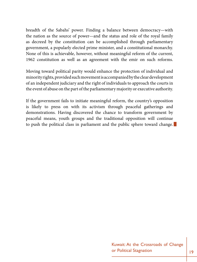breadth of the Sabahs' power. Finding a balance between democracy—with the nation as the source of power—and the status and role of the royal family as decreed by the constitution can be accomplished through parliamentary government, a popularly elected prime minister, and a constitutional monarchy. None of this is achievable, however, without meaningful reform of the current, 1962 constitution as well as an agreement with the emir on such reforms.

Moving toward political parity would enhance the protection of individual and minority rights, provided such movement is accompanied by the clear development of an independent judiciary and the right of individuals to approach the courts in the event of abuse on the part of the parliamentary majority or executive authority.

If the government fails to initiate meaningful reform, the country's opposition is likely to press on with its activism through peaceful gatherings and demonstrations. Having discovered the chance to transform government by peaceful means, youth groups and the traditional opposition will continue to push the political class in parliament and the public sphere toward change.